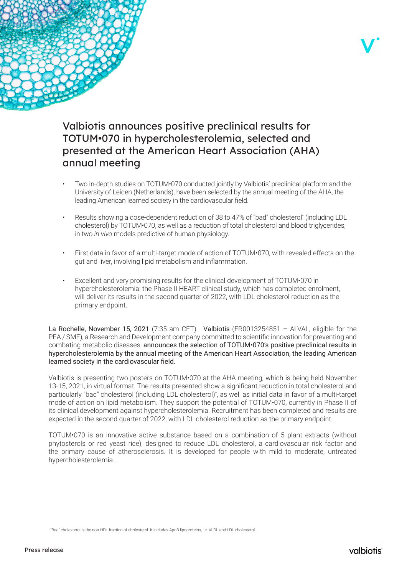

# Valbiotis announces positive preclinical results for TOTUM•070 in hypercholesterolemia, selected and presented at the American Heart Association (AHA) annual meeting

- Two in-depth studies on TOTUM•070 conducted jointly by Valbiotis' preclinical platform and the University of Leiden (Netherlands), have been selected by the annual meeting of the AHA, the leading American learned society in the cardiovascular field.
- Results showing a dose-dependent reduction of 38 to 47% of "bad" cholesterol\* (including LDL cholesterol) by TOTUM•070, as well as a reduction of total cholesterol and blood triglycerides, in two *in vivo* models predictive of human physiology.
- First data in favor of a multi-target mode of action of TOTUM•070, with revealed effects on the gut and liver, involving lipid metabolism and inflammation.
- Excellent and very promising results for the clinical development of TOTUM•070 in hypercholesterolemia: the Phase II HEART clinical study, which has completed enrolment, will deliver its results in the second quarter of 2022, with LDL cholesterol reduction as the primary endpoint.

La Rochelle, November 15, 2021 (7:35 am CET) - Valbiotis (FR0013254851 – ALVAL, eligible for the PEA / SME), a Research and Development company committed to scientific innovation for preventing and combating metabolic diseases, announces the selection of TOTUM•070's positive preclinical results in hypercholesterolemia by the annual meeting of the American Heart Association, the leading American learned society in the cardiovascular field.

Valbiotis is presenting two posters on TOTUM•070 at the AHA meeting, which is being held November 13-15, 2021, in virtual format. The results presented show a significant reduction in total cholesterol and particularly "bad" cholesterol (including LDL cholesterol)\* , as well as initial data in favor of a multi-target mode of action on lipid metabolism. They support the potential of TOTUM•070, currently in Phase II of its clinical development against hypercholesterolemia. Recruitment has been completed and results are expected in the second quarter of 2022, with LDL cholesterol reduction as the primary endpoint.

TOTUM•070 is an innovative active substance based on a combination of 5 plant extracts (without phytosterols or red yeast rice), designed to reduce LDL cholesterol, a cardiovascular risk factor and the primary cause of atherosclerosis. It is developed for people with mild to moderate, untreated hypercholesterolemia.

<sup>\*</sup> "Bad" cholesterol is the non-HDL fraction of cholesterol. It includes ApoB lipoproteins, i.e. VLDL and LDL cholesterol.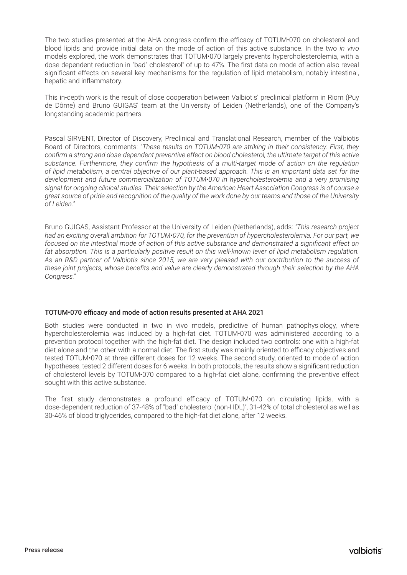The two studies presented at the AHA congress confirm the efficacy of TOTUM•070 on cholesterol and blood lipids and provide initial data on the mode of action of this active substance. In the two *in vivo*  models explored, the work demonstrates that TOTUM•070 largely prevents hypercholesterolemia, with a dose-dependent reduction in "bad" cholesterol\* of up to 47%. The first data on mode of action also reveal significant effects on several key mechanisms for the regulation of lipid metabolism, notably intestinal, hepatic and inflammatory.

This in-depth work is the result of close cooperation between Valbiotis' preclinical platform in Riom (Puy de Dôme) and Bruno GUIGAS' team at the University of Leiden (Netherlands), one of the Company's longstanding academic partners.

Pascal SIRVENT, Director of Discovery, Preclinical and Translational Research, member of the Valbiotis Board of Directors, comments: "*These results on TOTUM•070 are striking in their consistency. First, they confirm a strong and dose-dependent preventive effect on blood cholesterol, the ultimate target of this active substance. Furthermore, they confirm the hypothesis of a multi-target mode of action on the regulation of lipid metabolism, a central objective of our plant-based approach. This is an important data set for the development and future commercialization of TOTUM•070 in hypercholesterolemia and a very promising signal for ongoing clinical studies. Their selection by the American Heart Association Congress is of course a great source of pride and recognition of the quality of the work done by our teams and those of the University of Leiden."*

Bruno GUIGAS, Assistant Professor at the University of Leiden (Netherlands), adds: *"This research project had an exciting overall ambition for TOTUM•070, for the prevention of hypercholesterolemia. For our part, we focused on the intestinal mode of action of this active substance and demonstrated a significant effect on*  fat absorption. This is a particularly positive result on this well-known lever of lipid metabolism regulation. *As an R&D partner of Valbiotis since 2015, we are very pleased with our contribution to the success of these joint projects, whose benefits and value are clearly demonstrated through their selection by the AHA Congress."*

#### TOTUM•070 efficacy and mode of action results presented at AHA 2021

Both studies were conducted in two in vivo models, predictive of human pathophysiology, where hypercholesterolemia was induced by a high-fat diet. TOTUM•070 was administered according to a prevention protocol together with the high-fat diet. The design included two controls: one with a high-fat diet alone and the other with a normal diet. The first study was mainly oriented to efficacy objectives and tested TOTUM•070 at three different doses for 12 weeks. The second study, oriented to mode of action hypotheses, tested 2 different doses for 6 weeks. In both protocols, the results show a significant reduction of cholesterol levels by TOTUM•070 compared to a high-fat diet alone, confirming the preventive effect sought with this active substance.

The first study demonstrates a profound efficacy of TOTUM•070 on circulating lipids, with a dose-dependent reduction of 37-48% of "bad" cholesterol (non-HDL)\* , 31-42% of total cholesterol as well as 30-46% of blood triglycerides, compared to the high-fat diet alone, after 12 weeks.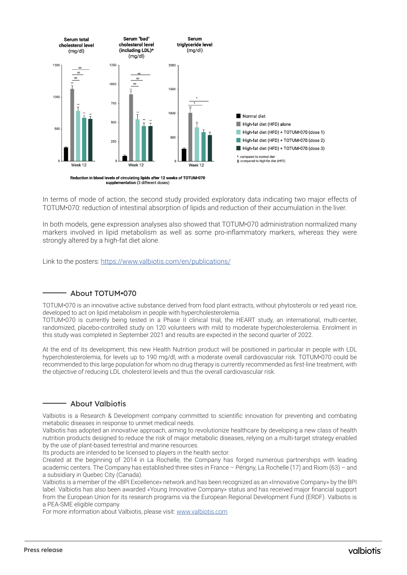

In terms of mode of action, the second study provided exploratory data indicating two major effects of TOTUM•070: reduction of intestinal absorption of lipids and reduction of their accumulation in the liver.

In both models, gene expression analyses also showed that TOTUM•070 administration normalized many markers involved in lipid metabolism as well as some pro-inflammatory markers, whereas they were strongly altered by a high-fat diet alone.

Link to the posters: <https://www.valbiotis.com/en/publications/>

#### About TOTUM•070

TOTUM•070 is an innovative active substance derived from food plant extracts, without phytosterols or red yeast rice, developed to act on lipid metabolism in people with hypercholesterolemia.

TOTUM•070 is currently being tested in a Phase II clinical trial, the HEART study, an international, multi-center, randomized, placebo-controlled study on 120 volunteers with mild to moderate hypercholesterolemia. Enrolment in this study was completed in September 2021 and results are expected in the second quarter of 2022.

At the end of its development, this new Health Nutrition product will be positioned in particular in people with LDL hypercholesterolemia, for levels up to 190 mg/dl, with a moderate overall cardiovascular risk. TOTUM•070 could be recommended to this large population for whom no drug therapy is currently recommended as first-line treatment, with the objective of reducing LDL cholesterol levels and thus the overall cardiovascular risk.

### About Valbiotis

Valbiotis is a Research & Development company committed to scientific innovation for preventing and combating metabolic diseases in response to unmet medical needs.

Valbiotis has adopted an innovative approach, aiming to revolutionize healthcare by developing a new class of health nutrition products designed to reduce the risk of major metabolic diseases, relying on a multi-target strategy enabled by the use of plant-based terrestrial and marine resources.

Its products are intended to be licensed to players in the health sector.

Created at the beginning of 2014 in La Rochelle, the Company has forged numerous partnerships with leading academic centers. The Company has established three sites in France – Périgny, La Rochelle (17) and Riom (63) – and a subsidiary in Quebec City (Canada).

Valbiotis is a member of the «BPI Excellence» network and has been recognized as an «Innovative Company» by the BPI label. Valbiotis has also been awarded «Young Innovative Company» status and has received major financial support from the European Union for its research programs via the European Regional Development Fund (ERDF). Valbiotis is a PEA-SME eligible company.

For more information about Valbiotis, please visit: [www.valbiotis.com](http://www.valbiotis.com)